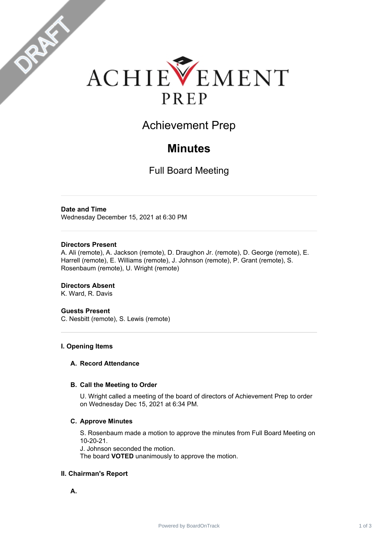

Achievement Prep

# **Minutes**

Full Board Meeting

### **Date and Time**

DRAFT

Wednesday December 15, 2021 at 6:30 PM

#### **Directors Present**

A. Ali (remote), A. Jackson (remote), D. Draughon Jr. (remote), D. George (remote), E. Harrell (remote), E. Williams (remote), J. Johnson (remote), P. Grant (remote), S. Rosenbaum (remote), U. Wright (remote)

# **Directors Absent**

K. Ward, R. Davis

# **Guests Present**

C. Nesbitt (remote), S. Lewis (remote)

# **I. Opening Items**

#### **A. Record Attendance**

#### **B. Call the Meeting to Order**

U. Wright called a meeting of the board of directors of Achievement Prep to order on Wednesday Dec 15, 2021 at 6:34 PM.

#### **C. Approve Minutes**

S. Rosenbaum made a motion to approve the minutes from Full Board Meeting on 10-20-21.

J. Johnson seconded the motion.

The board **VOTED** unanimously to approve the motion.

# **II. Chairman's Report**

**A.**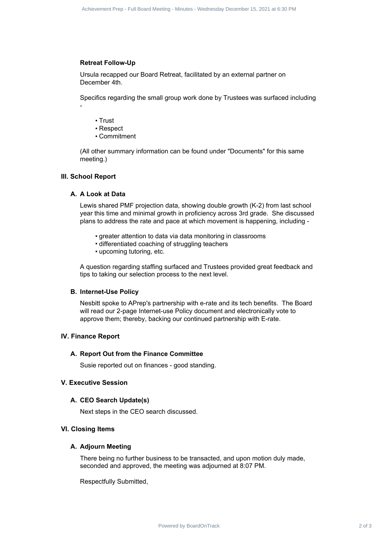#### **Retreat Follow-Up**

Ursula recapped our Board Retreat, facilitated by an external partner on December 4th.

Specifics regarding the small group work done by Trustees was surfaced including -

- Trust
- Respect
- Commitment

(All other summary information can be found under "Documents" for this same meeting.)

#### **III. School Report**

#### **A. A Look at Data**

Lewis shared PMF projection data, showing double growth (K-2) from last school year this time and minimal growth in proficiency across 3rd grade. She discussed plans to address the rate and pace at which movement is happening, including - Address of Board Prep - Indians Meeting - Minutes - Wednesday December 15, 2022 at 6:30 PM<br>**Referent Professor Contract 2** of 3 Achievement Prep - Fundament Prep - Fundament Meeting - Minutes and<br>Powerfull at experiment Af

- greater attention to data via data monitoring in classrooms
- differentiated coaching of struggling teachers
- upcoming tutoring, etc.

A question regarding staffing surfaced and Trustees provided great feedback and tips to taking our selection process to the next level.

#### **B. Internet-Use Policy**

Nesbitt spoke to APrep's partnership with e-rate and its tech benefits. The Board will read our 2-page Internet-use Policy document and electronically vote to approve them; thereby, backing our continued partnership with E-rate.

#### **IV. Finance Report**

#### **A. Report Out from the Finance Committee**

Susie reported out on finances - good standing.

# **V. Executive Session**

#### **A. CEO Search Update(s)**

Next steps in the CEO search discussed.

#### **VI. Closing Items**

#### **A. Adjourn Meeting**

There being no further business to be transacted, and upon motion duly made, seconded and approved, the meeting was adjourned at 8:07 PM.

Respectfully Submitted,